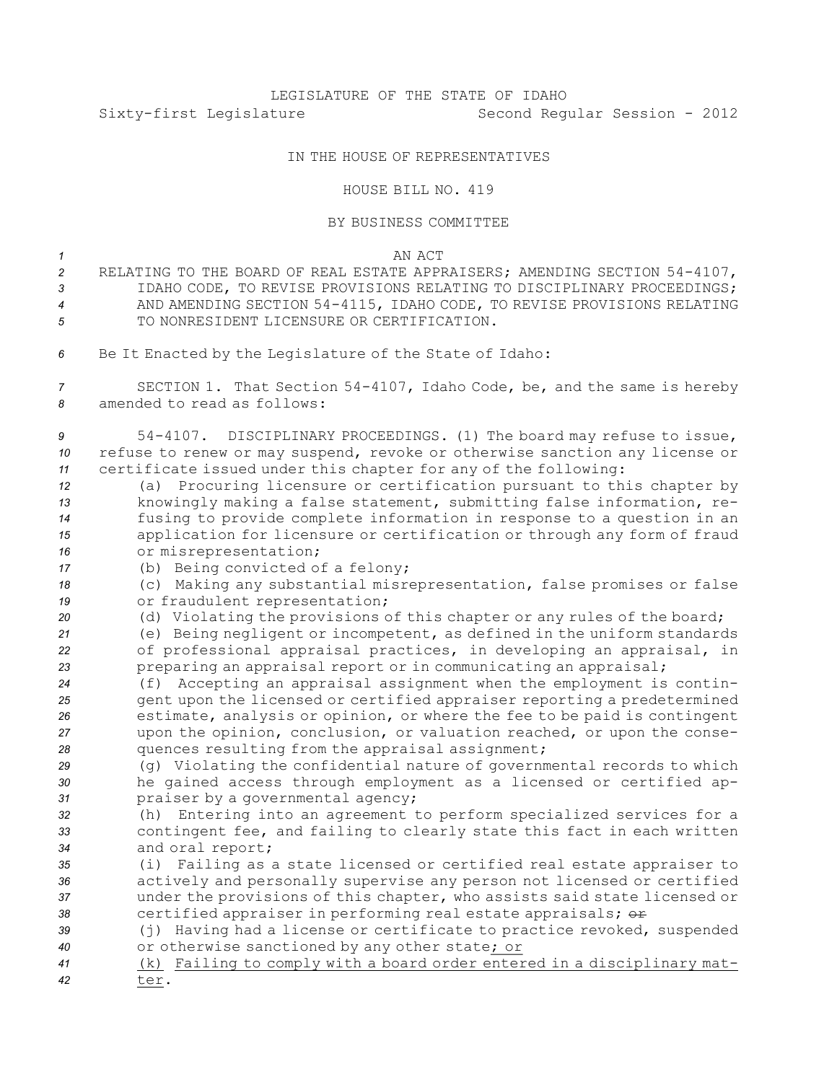## LEGISLATURE OF THE STATE OF IDAHO Sixty-first Legislature Second Regular Session - 2012

## IN THE HOUSE OF REPRESENTATIVES

## HOUSE BILL NO. 419

## BY BUSINESS COMMITTEE

*1* AN ACT

- *<sup>2</sup>* RELATING TO THE BOARD OF REAL ESTATE APPRAISERS; AMENDING SECTION 54-4107, *3* IDAHO CODE, TO REVISE PROVISIONS RELATING TO DISCIPLINARY PROCEEDINGS; *<sup>4</sup>* AND AMENDING SECTION 54-4115, IDAHO CODE, TO REVISE PROVISIONS RELATING *5* TO NONRESIDENT LICENSURE OR CERTIFICATION.
- *<sup>6</sup>* Be It Enacted by the Legislature of the State of Idaho:

*<sup>7</sup>* SECTION 1. That Section 54-4107, Idaho Code, be, and the same is hereby *8* amended to read as follows:

*<sup>9</sup>* 54-4107. DISCIPLINARY PROCEEDINGS. (1) The board may refuse to issue, *<sup>10</sup>* refuse to renew or may suspend, revoke or otherwise sanction any license or *<sup>11</sup>* certificate issued under this chapter for any of the following:

- *<sup>12</sup>* (a) Procuring licensure or certification pursuant to this chapter by *<sup>13</sup>* knowingly making <sup>a</sup> false statement, submitting false information, re-*<sup>14</sup>* fusing to provide complete information in response to <sup>a</sup> question in an *<sup>15</sup>* application for licensure or certification or through any form of fraud *<sup>16</sup>* or misrepresentation;
- *<sup>17</sup>* (b) Being convicted of <sup>a</sup> felony;

*<sup>18</sup>* (c) Making any substantial misrepresentation, false promises or false *<sup>19</sup>* or fraudulent representation;

*<sup>20</sup>* (d) Violating the provisions of this chapter or any rules of the board;

*<sup>21</sup>* (e) Being negligent or incompetent, as defined in the uniform standards *<sup>22</sup>* of professional appraisal practices, in developing an appraisal, in 23 **preparing an appraisal report or in communicating an appraisal;** 

 (f) Accepting an appraisal assignment when the employment is contin- gent upon the licensed or certified appraiser reporting <sup>a</sup> predetermined estimate, analysis or opinion, or where the fee to be paid is contingent upon the opinion, conclusion, or valuation reached, or upon the conse-quences resulting from the appraisal assignment;

*<sup>29</sup>* (g) Violating the confidential nature of governmental records to which *<sup>30</sup>* he gained access through employment as <sup>a</sup> licensed or certified ap-*<sup>31</sup>* praiser by <sup>a</sup> governmental agency;

- *<sup>32</sup>* (h) Entering into an agreement to perform specialized services for <sup>a</sup> *<sup>33</sup>* contingent fee, and failing to clearly state this fact in each written *<sup>34</sup>* and oral report;
- *<sup>35</sup>* (i) Failing as <sup>a</sup> state licensed or certified real estate appraiser to *<sup>36</sup>* actively and personally supervise any person not licensed or certified *<sup>37</sup>* under the provisions of this chapter, who assists said state licensed or 38 **38** certified appraiser in performing real estate appraisals;  $\theta$ **F**
- *<sup>39</sup>* (j) Having had <sup>a</sup> license or certificate to practice revoked, suspended *<sup>40</sup>* or otherwise sanctioned by any other state; or
- *<sup>41</sup>* (k) Failing to comply with <sup>a</sup> board order entered in <sup>a</sup> disciplinary mat-*42* ter.